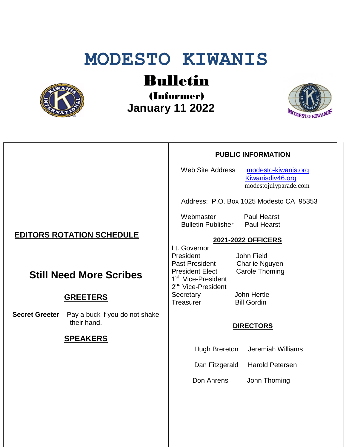# **MODESTO KIWANIS**



## Bulletin

(Informer)  **January 11 2022**



#### **PUBLIC INFORMATION**

Web Site Address [modesto-kiwanis.org](http://modesto-kiwanis.org/) [Kiwanisdiv46.org](http://www.kiwanisdiv46.org/) modestojulyparade.com

Address: P.O. Box 1025 Modesto CA 95353

Webmaster Paul Hearst Bulletin Publisher Paul Hearst

#### **2021-2022 OFFICERS**

Lt. Governor President John Field Past President Charlie Nguyen President Elect Carole Thoming 1<sup>st</sup> Vice-President 2<sup>nd</sup> Vice-President Secretary John Hertle Treasurer Bill Gordin

#### **DIRECTORS**

Hugh Brereton Jeremiah Williams

Dan Fitzgerald Harold Petersen

Don Ahrens John Thoming

## **EDITORS ROTATION SCHEDULE**

## **Still Need More Scribes**

## **GREETERS**

**Secret Greeter** – Pay a buck if you do not shake their hand.

## **SPEAKERS**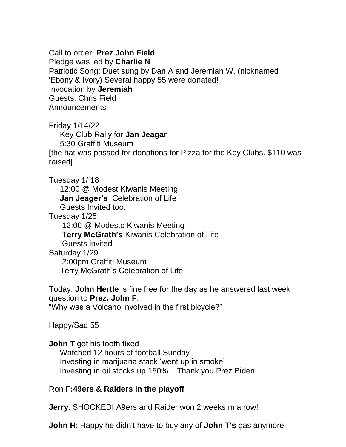Call to order: **Prez John Field**

Pledge was led by **Charlie N**

Patriotic Song: Duet sung by Dan A and Jeremiah W. (nicknamed 'Ebony & Ivory) Several happy 55 were donated! Invocation by **Jeremiah** Guests: Chris Field Announcements:

Friday 1/14/22

 Key Club Rally for **Jan Jeagar** 5:30 Graffiti Museum [the hat was passed for donations for Pizza for the Key Clubs. \$110 was raised]

Tuesday 1/ 18

 12:00 @ Modest Kiwanis Meeting  **Jan Jeager's** Celebration of Life Guests Invited too.

Tuesday 1/25

12:00 @ Modesto Kiwanis Meeting

**Terry McGrath's** Kiwanis Celebration of Life

Guests invited

Saturday 1/29

 2:00pm Graffiti Museum Terry McGrath's Celebration of Life

Today: **John Hertle** is fine free for the day as he answered last week question to **Prez. John F**.

"Why was a Volcano involved in the first bicycle?"

Happy/Sad 55

**John T** got his tooth fixed

 Watched 12 hours of football Sunday Investing in marijuana stack 'went up in smoke' Investing in oil stocks up 150%... Thank you Prez Biden

Ron F**:49ers & Raiders in the playoff**

**Jerry**: SHOCKEDI A9ers and Raider won 2 weeks m a row!

**John H**: Happy he didn't have to buy any of **John T's** gas anymore.